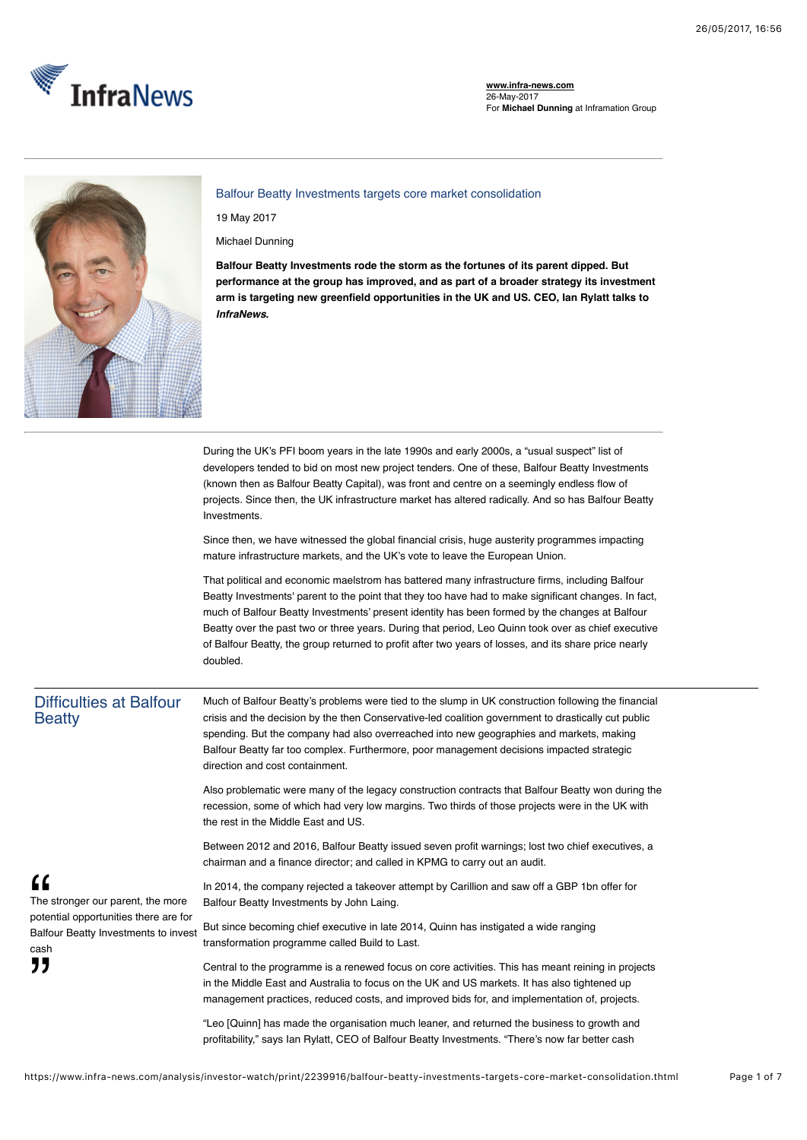

**www.infra-news.com** 26-May-2017 For **Michael Dunning** at Inframation Group



Balfour Beatty Investments targets core market consolidation

19 May 2017

Michael Dunning

**Balfour Beatty Investments rode the storm as the fortunes of its parent dipped. But performance at the group has improved, and as part of a broader strategy its investment arm is targeting new greenfield opportunities in the UK and US. CEO, Ian Rylatt talks to** *InfraNews***.**

During the UK's PFI boom years in the late 1990s and early 2000s, a "usual suspect" list of developers tended to bid on most new project tenders. One of these, Balfour Beatty Investments (known then as Balfour Beatty Capital), was front and centre on a seemingly endless flow of projects. Since then, the UK infrastructure market has altered radically. And so has Balfour Beatty Investments.

Since then, we have witnessed the global financial crisis, huge austerity programmes impacting mature infrastructure markets, and the UK's vote to leave the European Union.

That political and economic maelstrom has battered many infrastructure firms, including Balfour Beatty Investments' parent to the point that they too have had to make significant changes. In fact, much of Balfour Beatty Investments' present identity has been formed by the changes at Balfour Beatty over the past two or three years. During that period, Leo Quinn took over as chief executive of Balfour Beatty, the group returned to profit after two years of losses, and its share price nearly doubled.

## Difficulties at Balfour **Beatty**

The stronger our parent, the more potential opportunities there are for Balfour Beatty Investments to invest

"

cash "

Much of Balfour Beatty's problems were tied to the slump in UK construction following the financial crisis and the decision by the then Conservative-led coalition government to drastically cut public spending. But the company had also overreached into new geographies and markets, making Balfour Beatty far too complex. Furthermore, poor management decisions impacted strategic direction and cost containment.

Also problematic were many of the legacy construction contracts that Balfour Beatty won during the recession, some of which had very low margins. Two thirds of those projects were in the UK with the rest in the Middle East and US.

Between 2012 and 2016, Balfour Beatty issued seven profit warnings; lost two chief executives, a chairman and a finance director; and called in KPMG to carry out an audit.

In 2014, the company rejected a takeover attempt by Carillion and saw off a GBP 1bn offer for Balfour Beatty Investments by John Laing.

But since becoming chief executive in late 2014, Quinn has instigated a wide ranging transformation programme called Build to Last.

Central to the programme is a renewed focus on core activities. This has meant reining in projects in the Middle East and Australia to focus on the UK and US markets. It has also tightened up management practices, reduced costs, and improved bids for, and implementation of, projects.

"Leo [Quinn] has made the organisation much leaner, and returned the business to growth and profitability," says Ian Rylatt, CEO of Balfour Beatty Investments. "There's now far better cash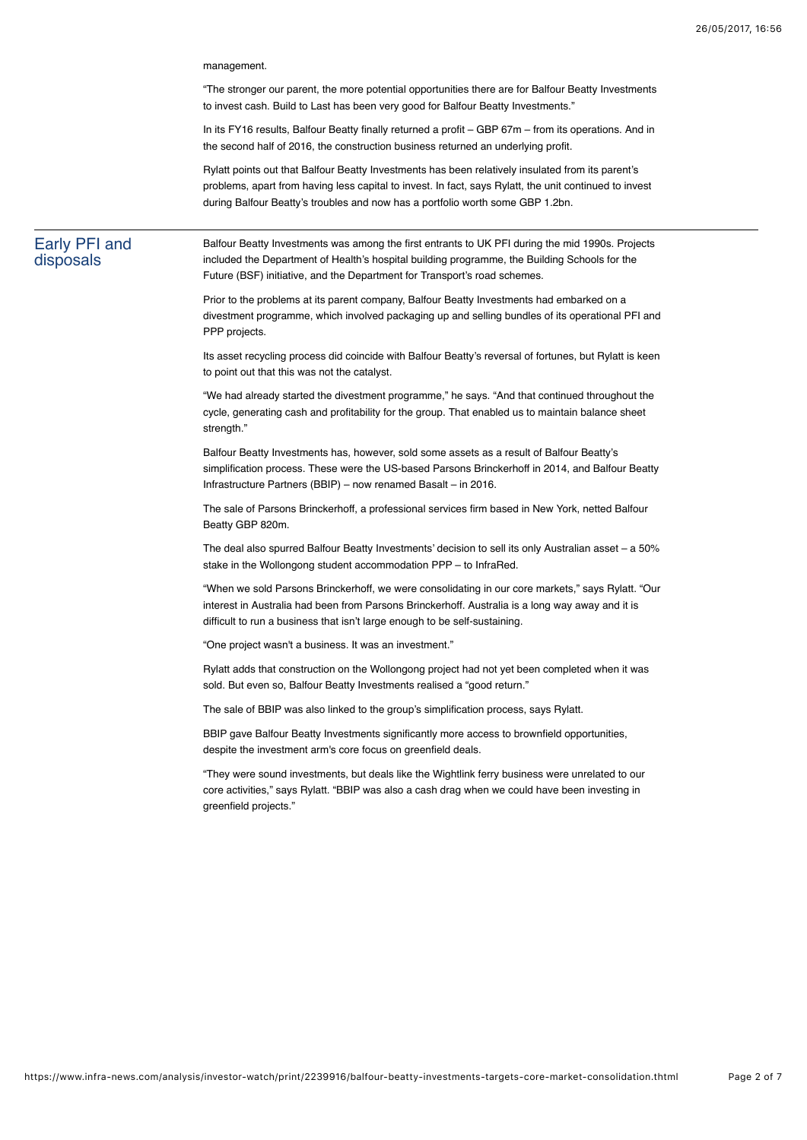management.

"The stronger our parent, the more potential opportunities there are for Balfour Beatty Investments to invest cash. Build to Last has been very good for Balfour Beatty Investments."

In its FY16 results, Balfour Beatty finally returned a profit – GBP 67m – from its operations. And in the second half of 2016, the construction business returned an underlying profit.

Rylatt points out that Balfour Beatty Investments has been relatively insulated from its parent's problems, apart from having less capital to invest. In fact, says Rylatt, the unit continued to invest during Balfour Beatty's troubles and now has a portfolio worth some GBP 1.2bn.

### Early PFI and disposals

Balfour Beatty Investments was among the first entrants to UK PFI during the mid 1990s. Projects included the Department of Health's hospital building programme, the Building Schools for the Future (BSF) initiative, and the Department for Transport's road schemes.

Prior to the problems at its parent company, Balfour Beatty Investments had embarked on a divestment programme, which involved packaging up and selling bundles of its operational PFI and PPP projects.

Its asset recycling process did coincide with Balfour Beatty's reversal of fortunes, but Rylatt is keen to point out that this was not the catalyst.

"We had already started the divestment programme," he says. "And that continued throughout the cycle, generating cash and profitability for the group. That enabled us to maintain balance sheet strength<sup>"</sup>

Balfour Beatty Investments has, however, sold some assets as a result of Balfour Beatty's simplification process. These were the US-based Parsons Brinckerhoff in 2014, and Balfour Beatty Infrastructure Partners (BBIP) – now renamed Basalt – in 2016.

The sale of Parsons Brinckerhoff, a professional services firm based in New York, netted Balfour Beatty GBP 820m.

The deal also spurred Balfour Beatty Investments' decision to sell its only Australian asset – a 50% stake in the Wollongong student accommodation PPP – to InfraRed.

"When we sold Parsons Brinckerhoff, we were consolidating in our core markets," says Rylatt. "Our interest in Australia had been from Parsons Brinckerhoff. Australia is a long way away and it is difficult to run a business that isn't large enough to be self-sustaining.

"One project wasn't a business. It was an investment."

Rylatt adds that construction on the Wollongong project had not yet been completed when it was sold. But even so, Balfour Beatty Investments realised a "good return."

The sale of BBIP was also linked to the group's simplification process, says Rylatt.

BBIP gave Balfour Beatty Investments significantly more access to brownfield opportunities, despite the investment arm's core focus on greenfield deals.

"They were sound investments, but deals like the Wightlink ferry business were unrelated to our core activities," says Rylatt. "BBIP was also a cash drag when we could have been investing in greenfield projects."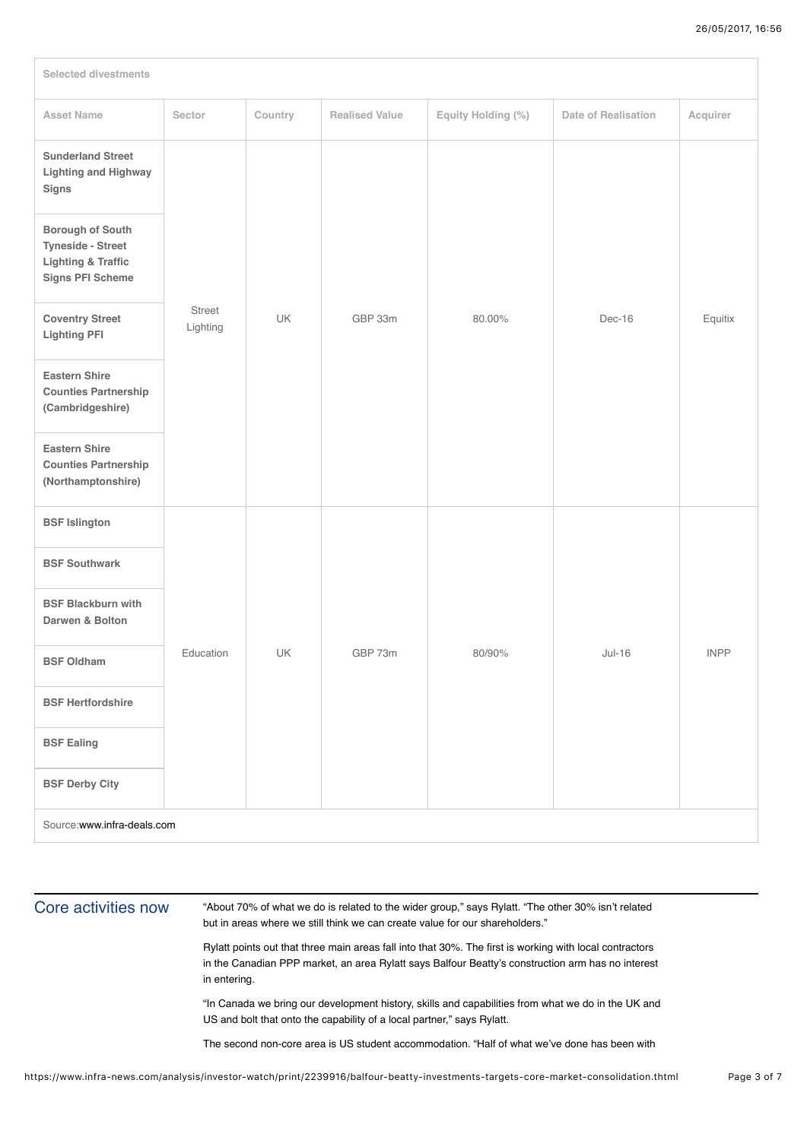| <b>Selected divestments</b>                                                                              |                    |         |                       |                    |                     |             |
|----------------------------------------------------------------------------------------------------------|--------------------|---------|-----------------------|--------------------|---------------------|-------------|
| <b>Asset Name</b>                                                                                        | Sector             | Country | <b>Realised Value</b> | Equity Holding (%) | Date of Realisation | Acquirer    |
| <b>Sunderland Street</b><br><b>Lighting and Highway</b><br><b>Signs</b>                                  |                    |         |                       |                    |                     |             |
| Borough of South<br><b>Tyneside - Street</b><br><b>Lighting &amp; Traffic</b><br><b>Signs PFI Scheme</b> |                    |         |                       |                    |                     |             |
| <b>Coventry Street</b><br><b>Lighting PFI</b>                                                            | Street<br>Lighting | UK      | GBP 33m               | 80.00%             | Dec-16              | Equitix     |
| <b>Eastern Shire</b><br><b>Counties Partnership</b><br>(Cambridgeshire)                                  |                    |         |                       |                    |                     |             |
| <b>Eastern Shire</b><br><b>Counties Partnership</b><br>(Northamptonshire)                                |                    |         |                       |                    |                     |             |
| <b>BSF Islington</b>                                                                                     |                    |         |                       |                    |                     |             |
| <b>BSF Southwark</b>                                                                                     |                    |         |                       |                    |                     |             |
| <b>BSF Blackburn with</b><br>Darwen & Bolton                                                             |                    |         |                       |                    |                     |             |
| <b>BSF Oldham</b>                                                                                        | Education          | UK      | GBP 73m               | 80/90%             | $Jul-16$            | <b>INPP</b> |
| <b>BSF Hertfordshire</b>                                                                                 |                    |         |                       |                    |                     |             |
| <b>BSF Ealing</b>                                                                                        |                    |         |                       |                    |                     |             |
| <b>BSF Derby City</b>                                                                                    |                    |         |                       |                    |                     |             |
| Source:www.infra-deals.com                                                                               |                    |         |                       |                    |                     |             |

## Core activities now

"About 70% of what we do is related to the wider group," says Rylatt. "The other 30% isn't related but in areas where we still think we can create value for our shareholders."

Rylatt points out that three main areas fall into that 30%. The first is working with local contractors in the Canadian PPP market, an area Rylatt says Balfour Beatty's construction arm has no interest in entering.

"In Canada we bring our development history, skills and capabilities from what we do in the UK and US and bolt that onto the capability of a local partner," says Rylatt.

The second non-core area is US student accommodation. "Half of what we've done has been with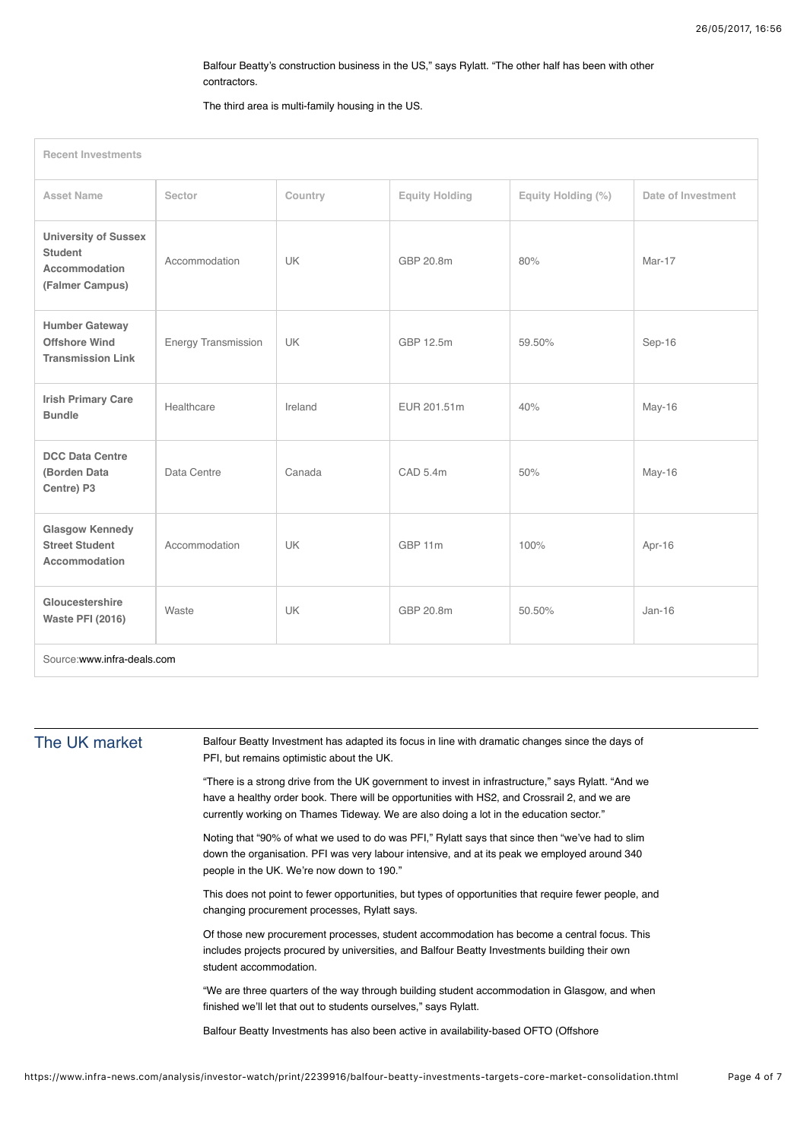### Balfour Beatty's construction business in the US," says Rylatt. "The other half has been with other contractors.

#### The third area is multi-family housing in the US.

| <b>Recent Investments</b>                                                         |                            |           |                       |                    |                    |
|-----------------------------------------------------------------------------------|----------------------------|-----------|-----------------------|--------------------|--------------------|
| <b>Asset Name</b>                                                                 | Sector                     | Country   | <b>Equity Holding</b> | Equity Holding (%) | Date of Investment |
| <b>University of Sussex</b><br><b>Student</b><br>Accommodation<br>(Falmer Campus) | Accommodation              | <b>UK</b> | GBP 20.8m             | 80%                | Mar-17             |
| <b>Humber Gateway</b><br><b>Offshore Wind</b><br><b>Transmission Link</b>         | <b>Energy Transmission</b> | <b>UK</b> | GBP 12.5m             | 59.50%             | Sep-16             |
| <b>Irish Primary Care</b><br><b>Bundle</b>                                        | Healthcare                 | Ireland   | EUR 201.51m           | 40%                | May-16             |
| <b>DCC Data Centre</b><br>(Borden Data<br>Centre) P3                              | Data Centre                | Canada    | CAD 5.4m              | 50%                | May-16             |
| <b>Glasgow Kennedy</b><br><b>Street Student</b><br><b>Accommodation</b>           | Accommodation              | <b>UK</b> | GBP 11m               | 100%               | Apr-16             |
| Gloucestershire<br><b>Waste PFI (2016)</b>                                        | Waste                      | <b>UK</b> | GBP 20.8m             | 50.50%             | $Jan-16$           |
| Source:www.infra-deals.com                                                        |                            |           |                       |                    |                    |

### The UK market

Balfour Beatty Investment has adapted its focus in line with dramatic changes since the days of PFI, but remains optimistic about the UK.

"There is a strong drive from the UK government to invest in infrastructure," says Rylatt. "And we have a healthy order book. There will be opportunities with HS2, and Crossrail 2, and we are currently working on Thames Tideway. We are also doing a lot in the education sector."

Noting that "90% of what we used to do was PFI," Rylatt says that since then "we've had to slim down the organisation. PFI was very labour intensive, and at its peak we employed around 340 people in the UK. We're now down to 190."

This does not point to fewer opportunities, but types of opportunities that require fewer people, and changing procurement processes, Rylatt says.

Of those new procurement processes, student accommodation has become a central focus. This includes projects procured by universities, and Balfour Beatty Investments building their own student accommodation.

"We are three quarters of the way through building student accommodation in Glasgow, and when finished we'll let that out to students ourselves," says Rylatt.

Balfour Beatty Investments has also been active in availability-based OFTO (Offshore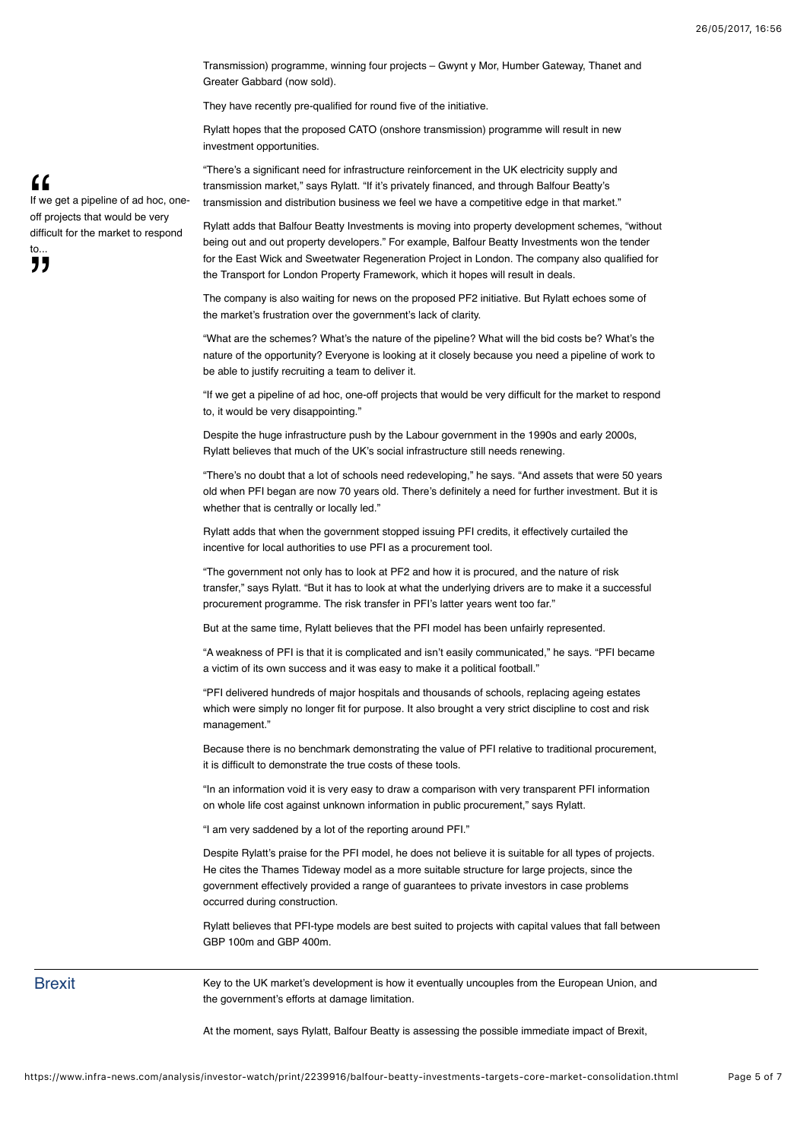Transmission) programme, winning four projects – Gwynt y Mor, Humber Gateway, Thanet and Greater Gabbard (now sold).

They have recently pre-qualified for round five of the initiative.

Rylatt hopes that the proposed CATO (onshore transmission) programme will result in new investment opportunities.

"There's a significant need for infrastructure reinforcement in the UK electricity supply and transmission market," says Rylatt. "If it's privately financed, and through Balfour Beatty's transmission and distribution business we feel we have a competitive edge in that market."

Rylatt adds that Balfour Beatty Investments is moving into property development schemes, "without being out and out property developers." For example, Balfour Beatty Investments won the tender for the East Wick and Sweetwater Regeneration Project in London. The company also qualified for the Transport for London Property Framework, which it hopes will result in deals.

The company is also waiting for news on the proposed PF2 initiative. But Rylatt echoes some of the market's frustration over the government's lack of clarity.

"What are the schemes? What's the nature of the pipeline? What will the bid costs be? What's the nature of the opportunity? Everyone is looking at it closely because you need a pipeline of work to be able to justify recruiting a team to deliver it.

"If we get a pipeline of ad hoc, one-off projects that would be very difficult for the market to respond to, it would be very disappointing."

Despite the huge infrastructure push by the Labour government in the 1990s and early 2000s, Rylatt believes that much of the UK's social infrastructure still needs renewing.

"There's no doubt that a lot of schools need redeveloping," he says. "And assets that were 50 years old when PFI began are now 70 years old. There's definitely a need for further investment. But it is whether that is centrally or locally led."

Rylatt adds that when the government stopped issuing PFI credits, it effectively curtailed the incentive for local authorities to use PFI as a procurement tool.

"The government not only has to look at PF2 and how it is procured, and the nature of risk transfer," says Rylatt. "But it has to look at what the underlying drivers are to make it a successful procurement programme. The risk transfer in PFI's latter years went too far."

But at the same time, Rylatt believes that the PFI model has been unfairly represented.

"A weakness of PFI is that it is complicated and isn't easily communicated," he says. "PFI became a victim of its own success and it was easy to make it a political football."

"PFI delivered hundreds of major hospitals and thousands of schools, replacing ageing estates which were simply no longer fit for purpose. It also brought a very strict discipline to cost and risk management."

Because there is no benchmark demonstrating the value of PFI relative to traditional procurement, it is difficult to demonstrate the true costs of these tools.

"In an information void it is very easy to draw a comparison with very transparent PFI information on whole life cost against unknown information in public procurement," says Rylatt.

"I am very saddened by a lot of the reporting around PFI."

Despite Rylatt's praise for the PFI model, he does not believe it is suitable for all types of projects. He cites the [Thames Tideway model](https://www.infra-deals.com/research-and-reports/transaction-profiles/page_3/1614496/case-study-thames-tideway-and-the-securing-of-ultra-cheap-debt.thtml) as a more suitable structure for large projects, since the government effectively provided a range of guarantees to private investors in case problems occurred during construction.

Rylatt believes that PFI-type models are best suited to projects with capital values that fall between GBP 100m and GBP 400m.

Key to the UK market's development is how it eventually uncouples from the European Union, and the government's efforts at damage limitation.

At the moment, says Rylatt, Balfour Beatty is assessing the possible immediate impact of Brexit,

If we get a pipeline of ad hoc, oneoff projects that would be very difficult for the market to respond  $\mathsf{t}$ ,,

**Brexit** 

"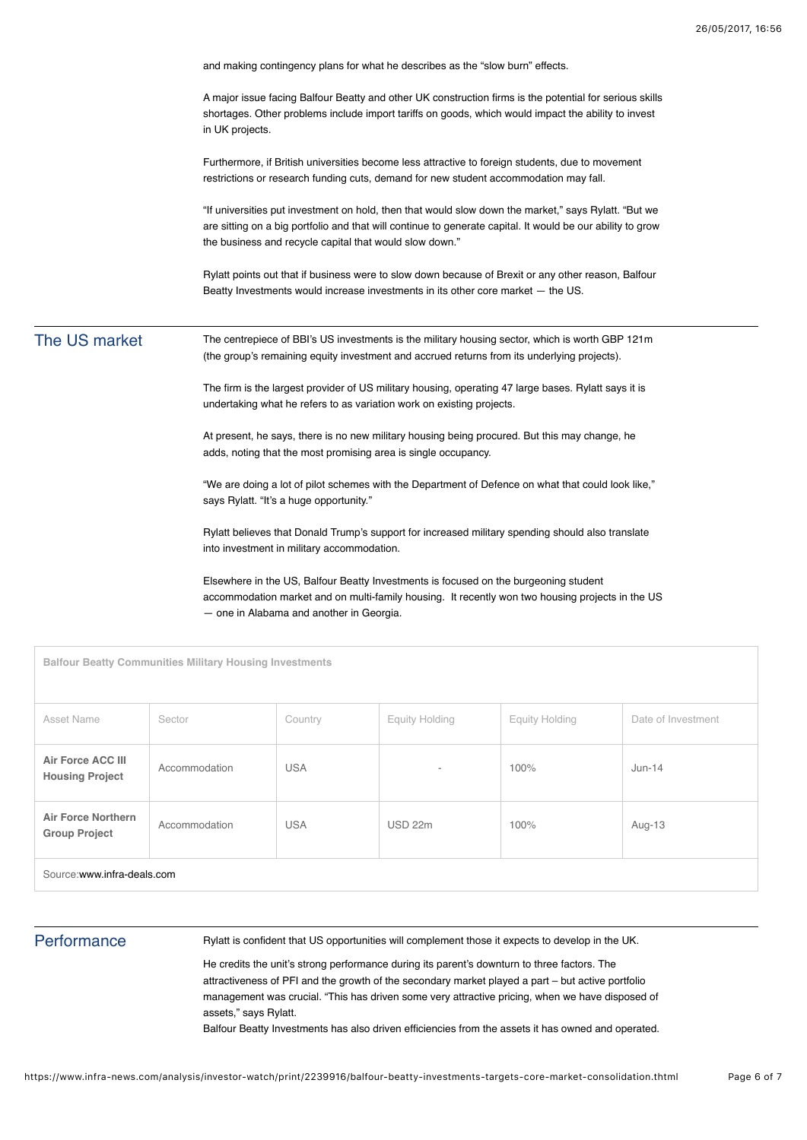|               | and making contingency plans for what he describes as the "slow burn" effects.                                                                                                                                                                                                |  |
|---------------|-------------------------------------------------------------------------------------------------------------------------------------------------------------------------------------------------------------------------------------------------------------------------------|--|
|               | A major issue facing Balfour Beatty and other UK construction firms is the potential for serious skills<br>shortages. Other problems include import tariffs on goods, which would impact the ability to invest<br>in UK projects.                                             |  |
|               | Furthermore, if British universities become less attractive to foreign students, due to movement<br>restrictions or research funding cuts, demand for new student accommodation may fall.                                                                                     |  |
|               | "If universities put investment on hold, then that would slow down the market," says Rylatt. "But we<br>are sitting on a big portfolio and that will continue to generate capital. It would be our ability to grow<br>the business and recycle capital that would slow down." |  |
|               | Rylatt points out that if business were to slow down because of Brexit or any other reason, Balfour<br>Beatty Investments would increase investments in its other core market – the US.                                                                                       |  |
| The US market | The centrepiece of BBI's US investments is the military housing sector, which is worth GBP 121m<br>(the group's remaining equity investment and accrued returns from its underlying projects).                                                                                |  |
|               | The firm is the largest provider of US military housing, operating 47 large bases. Rylatt says it is<br>undertaking what he refers to as variation work on existing projects.                                                                                                 |  |
|               | At present, he says, there is no new military housing being procured. But this may change, he<br>adds, noting that the most promising area is single occupancy.                                                                                                               |  |
|               | "We are doing a lot of pilot schemes with the Department of Defence on what that could look like,"<br>says Rylatt. "It's a huge opportunity."                                                                                                                                 |  |
|               | Rylatt believes that Donald Trump's support for increased military spending should also translate<br>into investment in military accommodation.                                                                                                                               |  |
|               | Elsewhere in the US, Balfour Beatty Investments is focused on the burgeoning student<br>accommodation market and on multi-family housing. It recently won two housing projects in the US<br>- one in Alabama and another in Georgia.                                          |  |
|               | <b>Balfour Beatty Communities Military Housing Investments</b>                                                                                                                                                                                                                |  |

| Asset Name                                         | Sector        | Country    | <b>Equity Holding</b>    | <b>Equity Holding</b> | Date of Investment |
|----------------------------------------------------|---------------|------------|--------------------------|-----------------------|--------------------|
| <b>Air Force ACC III</b><br><b>Housing Project</b> | Accommodation | <b>USA</b> | $\overline{\phantom{a}}$ | 100%                  | $Jun-14$           |
| <b>Air Force Northern</b><br><b>Group Project</b>  | Accommodation | <b>USA</b> | USD 22m                  | 100%                  | Aug-13             |
| Source:www.infra-deals.com                         |               |            |                          |                       |                    |

# **Performance**

Rylatt is confident that US opportunities will complement those it expects to develop in the UK.

He credits the unit's strong performance during its parent's downturn to three factors. The attractiveness of PFI and the growth of the secondary market played a part – but active portfolio management was crucial. "This has driven some very attractive pricing, when we have disposed of assets," says Rylatt.

Balfour Beatty Investments has also driven efficiencies from the assets it has owned and operated.